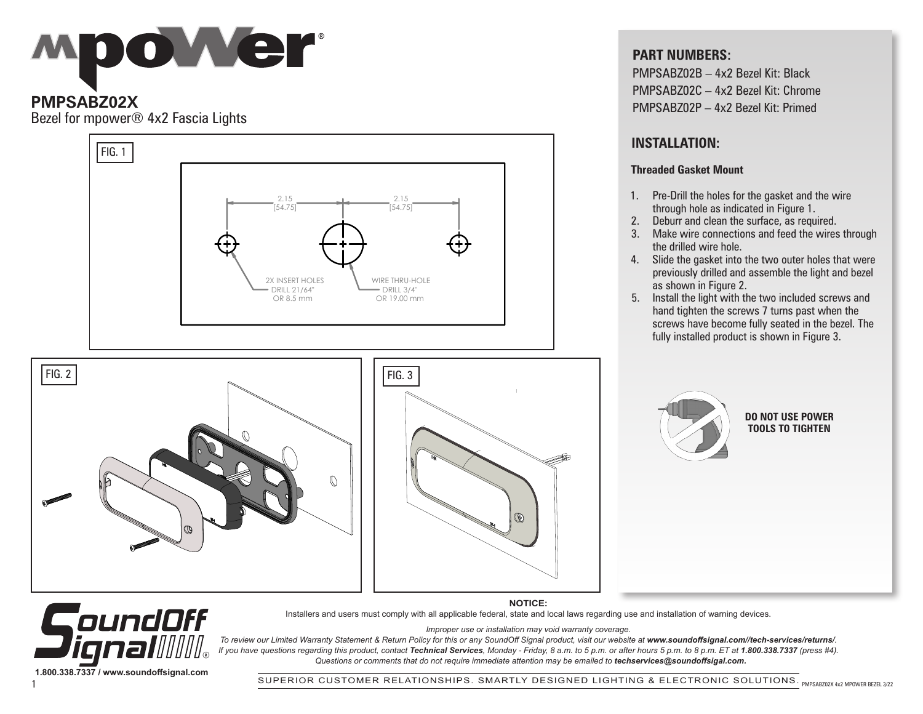# Mpower

## **PMPSABZ02X**

Bezel for mpower® 4x2 Fascia Lights



#### **PART NUMBERS:**

PMPSABZ02B – 4x2 Bezel Kit: Black PMPSABZ02C – 4x2 Bezel Kit: Chrome PMPSABZ02P – 4x2 Bezel Kit: Primed

## **INSTALLATION:**

#### **Threaded Gasket Mount**

- 1. Pre-Drill the holes for the gasket and the wire through hole as indicated in Figure 1.
- 2. Deburr and clean the surface, as required.
- 3. Make wire connections and feed the wires through the drilled wire hole.
- 4. Slide the gasket into the two outer holes that were previously drilled and assemble the light and bezel as shown in Figure 2.
- 5. Install the light with the two included screws and hand tighten the screws 7 turns past when the screws have become fully seated in the bezel. The fully installed product is shown in Figure 3.



#### **DO NOT USE POWER TOOLS TO TIGHTEN**

CoundOff ////|⊚ **1.800.338.7337 / www.soundoffsignal.com**

**NOTICE:** Installers and users must comply with all applicable federal, state and local laws regarding use and installation of warning devices.

*Improper use or installation may void warranty coverage.*

To review our Limited Warranty Statement & Return Policy for this or any SoundOff Signal product, visit our website at www.soundoffsignal.com//tech-services/returns/. *If you have questions regarding this product, contact Technical Services, Monday - Friday, 8 a.m. to 5 p.m. or after hours 5 p.m. to 8 p.m. ET at 1.800.338.7337 (press #4). Questions or comments that do not require immediate attention may be emailed to techservices@soundoffsigal.com.*

SUPERIOR CUSTOMER RELATIONSHIPS. SMARTLY DESIGNED LIGHTING & ELECTRONIC SOLUTIONS. PMPSABZ02X 4x2 MP0WER BEZEL 3/22